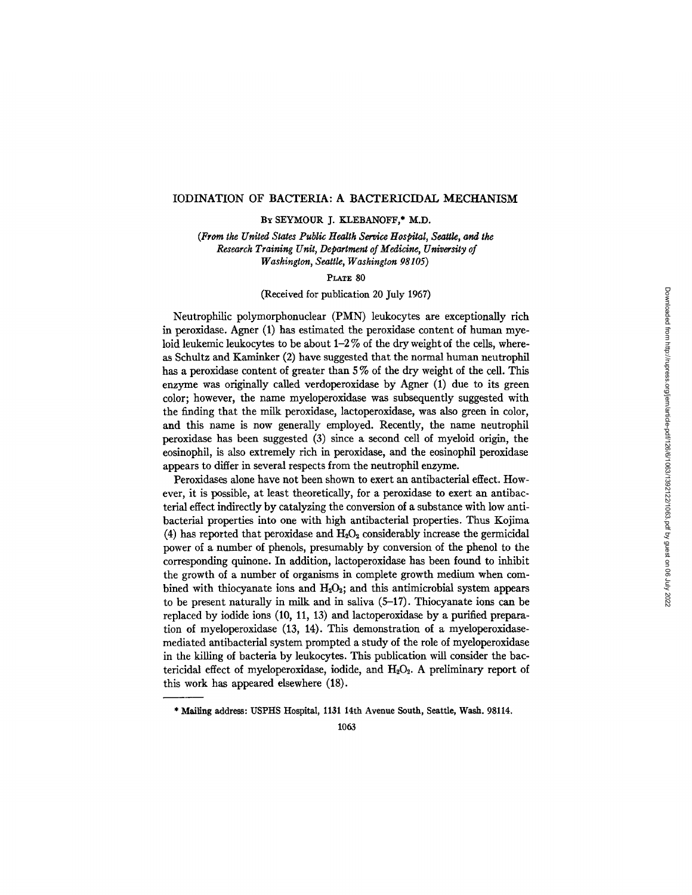# IODINATION OF BACTERIA: A BACTERICIDAL MECHANISM

BY SEYMOUR J. KLEBANOFF,\* M.D.

*(From the United States Public Health Service Hospital, Seattle, and the Research Training Unit, Department of Medicine, University of Washington, Seattle, Washington 98105)* 

#### PLATE 80

# (Received for publication 20 July 1967)

Neutrophilic polymorphonuclear (PMN) leukocytes are exceptionally rich in peroxidase. Agner (1) has estimated the peroxidase content of human myeloid leukemic leukocytes to be about  $1-2\%$  of the dry weight of the cells, whereas Schultz and Kaminker (2) have suggested that the normal human neutrophil has a peroxidase content of greater than 5 % of the dry weight of the cell. This enzyme was originally called verdoperoxidase by Agner (1) due to its green color; however, the name myeloperoxidase was subsequently suggested with the finding that the milk peroxidase, lactoperoxidase, was also green in color, and this name is now generally employed. Recently, the name neutrophil peroxidase has been suggested (3) since a second cell of myeloid origin, the eosinophil, is also extremely rich in peroxidase, and the eosinophil peroxidase appears to differ in several respects from the neutrophil enzyme.

Peroxidases alone have not been shown to exert an antibacterial effect. However, it is possible, at least theoretically, for a peroxidase to exert an antibacterial effect indirectly by catalyzing the conversion of a substance with low antibacterial properties into one with high antibacterial properties. Thus Kojima (4) has reported that peroxidase and  $H_2O_2$  considerably increase the germicidal power of a number of phenols, presumably by conversion of the phenol to the corresponding quinone. In addition, lactoperoxidase has been found to inhibit the growth of a number of organisms in complete growth medium when combined with thiocyanate ions and  $H_2O_2$ ; and this antimicrobial system appears to be present naturally in milk and in saliva (5-17). Thiocyanate ions can be replaced by iodide ions (10, 11, 13) and lactoperoxidase by a purified preparation of myeloperoxidase (13, 14). This demonstration of a myeloperoxidasemediated antibacterial system prompted a study of the role of myeloperoxidase in the kilting of bacteria by leukocytes. This publication will consider the bactericidal effect of myeloperoxidase, iodide, and  $H_2O_2$ . A preliminary report of this work has appeared elsewhere (18).

<sup>\*</sup> Mailing address: USPHS Hospital, 1131 14th Avenue South, Seattle, Wash. 98114.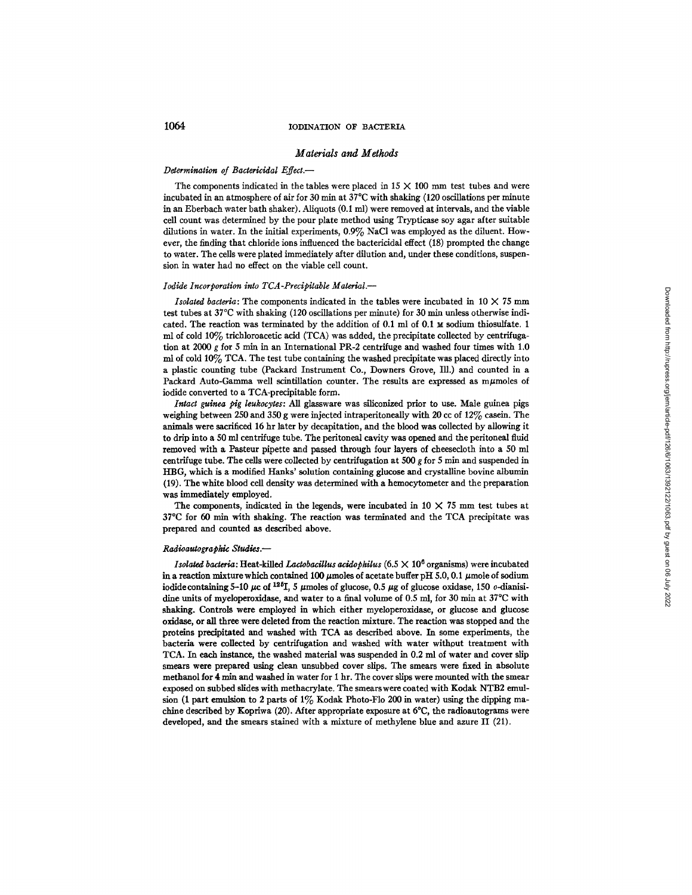#### *Materials and Methods*

#### *Determination of Bactericidal Effect.-*

The components indicated in the tables were placed in  $15 \times 100$  mm test tubes and were incubated in an atmosphere of air for 30 min at  $37^{\circ}$ C with shaking (120 oscillations per minute in an Eberbach water bath shaker). Allquots (0.1 ml) were removed at intervals, and the viable cell count was determined by the pour plate method using Trypticase soy agar after suitable dilutions in water. In the initial experiments, 0.9% NaC1 was employed as the diluent. However, the finding that chloride ions influenced the bactericidal effect (18) prompted the change to water. The cells were plated immediately after dilution and, under these conditions, suspension in water had no effect on the viable cell count.

#### *Iodide Incorporation into TCA-Precipitable Material.--*

*Isolated bacteria:* The components indicated in the tables were incubated in 10 X 75 mm test tubes at  $37^{\circ}$ C with shaking (120 oscillations per minute) for 30 min unless otherwise indicated. The reaction was terminated by the addition of  $0.1$  ml of  $0.1$   $\times$  sodium thiosulfate. 1 ml of cold 10% trichloroacetic acid (TCA) was added, the precipitate collected by centrifugation at 2000 g for 5 min in an International PR-2 centrifuge and washed four times with 1.0 mi of cold 10% TCA. The test tube containing the washed precipitate was placed directly into a plastic counting tube (Packard Instrument Co., Downers Grove, Ill.) and counted in a Packard Auto-Gamma well scintillation counter. The results are expressed as m $\mu$ moles of iodide converted to a TCA-precipitable form.

*Intact guinea pig leukocytes: All* glassware was siliconized prior to use. Male guinea pigs weighing between 250 and 350 g were injected intraperitoneally with 20 cc of 12% casein. The animals were sacrificed 16 hr later by decapitation, and the blood was collected by allowing it to drip into a 50 ml centrifuge tube. The peritoneal cavity was opened and the peritoneal fluid removed with a Pasteur pipette and passed through four layers of cheesecloth into a 50 ml centrifuge tube. The cells were collected by centrifugation at  $500$  g for 5 min and suspended in HBG, which is a modified Hanks' solution containing glucose and crystalline bovine albumin (19). The white blood cell density was determined with a hemocytometer and the preparation was immediately employed.

The components, indicated in the legends, were incubated in  $10 \times 75$  mm test tubes at 37°C for 60 min with shaking. The reaction was terminated and the TCA precipitate was prepared and counted as described above.

#### *Radioautographic Studies.--*

*Isolated bacteria:* Heat-killed *Laetobacillus acidophilus* (6.5 X 106 organisms) were incubated in a reaction mixture which contained 100  $\mu$ moles of acetate buffer pH 5.0, 0.1  $\mu$ mole of sodium iodide containing 5-10  $\mu$ c of <sup>125</sup>I, 5  $\mu$ moles of glucose, 0.5  $\mu$ g of glucose oxidase, 150 *o*-dianisidine units of myeloperoxidase, and water to a final volume of 0.5 ml, for 30 min at 37°C with shaking. Controls were employed in which either myeloperoxidase, or glucose and glucose oxidase, or all three were deleted from the reaction mixture. The reaction was stopped and the proteins precipitated and washed with TCA as described above. In some experiments, the bacteria were collected by centrifugation and washed with water without treatment with TCA. In each instance, the washed material was suspended in 0.2 ml of water and cover slip smears were prepared using dean unsubbed cover slips. The smears were fixed in absolute methanol for 4 min and washed in water for 1 hr. The cover slips were mounted with the smear exposed on subbed slides with methacrylate. The smears were coated with Kodak NTB2 emulsion (1 part emulsion to 2 parts of  $1\%$  Kodak Photo-Flo 200 in water) using the dipping machine described by Kopriwa (20). After appropriate exposure at 6°C, the radioantograms were developed, and the smears stained with a mixture of methylene blue and azure II (21).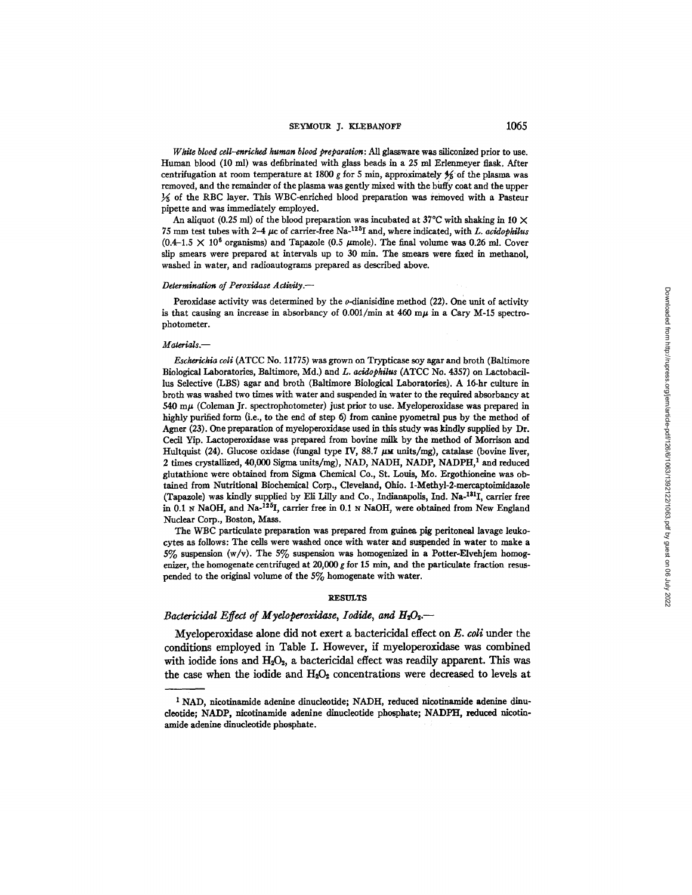*White blood cell-enriched human blood preparation: All glassware was siliconized prior to use.* Human blood (10 ml) was defibrinated with glass beads in a 25 mi Erlemneyer flask. After centrifugation at room temperature at 1800 g for 5 min, approximately  $\frac{4}{5}$  of the plasma was removed, and the remainder of the plasma was gently mixed with the buffy coat and the upper  $\frac{1}{25}$  of the RBC layer. This WBC-enriched blood preparation was removed with a Pasteur pipette and was immediately employed.

An aliquot (0.25 ml) of the blood preparation was incubated at 37°C with shaking in 10  $\times$ 75 mm test tubes with  $2-4$   $\mu$ c of carrier-free Na-<sup>125</sup>I and, where indicated, with *L. acidophilus*  $(0.4-1.5 \times 10^6$  organisms) and Tapazole (0.5  $\mu$ mole). The final volume was 0.26 ml. Cover slip smears were prepared at intervals up to 30 min. The smears were fixed in methanol, washed in water, and radioantograms prepared as described above.

#### *Determination of Peroxidase Activity.--*

Peroxidase activity was determined by the  $o$ -dianisidine method (22). One unit of activity is that causing an increase in absorbancy of  $0.001/min$  at  $460$  m $\mu$  in a Cary M-15 spectrophotometer.

#### *Materials.--*

*Escherichia coli* (ATCC No. 11775) was grown on Tryptiease soy agar and broth (Baltimore Biological Laboratories, Baltimore, Md.) *and L. acidophilus* (ATCC No. 4357) on Lactobacillus Selective (LBS) agar and broth (Baltimore Biological Laboratories). A 16-hr culture in broth was washed two times with water and suspended in water to the required absorbancy at 540 m $\mu$  (Coleman Jr. spectrophotometer) just prior to use. Myeloperoxidase was prepared in highly purified form (i.e., to the end of step 6) from canine pyometral pus by the method of Agner (23). one preparation of myeloperoxidase used in this study was kindly supplied by Dr. Cecil Yip. Laetoperoxidase was prepared from bovine milk by the method of Morrison and Hultquist (24). Glucose oxidase (fungal type IV, 88.7  $\mu$ M units/mg), catalase (bovine liver, 2 times crystallized, 40,000 Sigma units/rag), NAD, NADH, NADP, NADPH, 1 and reduced glutathione were obtained from Sigma Chemical Co., St. Louis, Mo. Ergothioneine was obtained from Nutritional Biochemical Corp., Cleveland, Ohio. 1-Methyl-2-mereaptoimidazole (Tapazole) was kindly supplied by Eli Lilly and Co., Indianapolis, Ind. Na-<sup>181</sup>I, carrier free in 0.1 N NaOH, and Na- $^{125}I$ , carrier free in 0.1 N NaOH, were obtained from New England Nuclear Corp., Boston, Mass.

The WBC particulate preparation was prepared from guinea pig peritoneal lavage leukocytes as follows: The cells were washed once with water and suspended in water to make a 5% suspension (w/v). The 5% suspension was homogenized in a Potter-Elvehjem homogenizer, the homogenate centrifuged at 20,000 g for 15 min, and the particulate fraction resuspended to the original volume of the 5% homogenate with water.

#### **RESULTS**

# *Bactericidal Effect of Myeloperoxidase, Iodide, and H<sub>2</sub>O<sub>2</sub>.--*

Myeloperoxidase alone did not exert a bactericidal effect on *E. coli* under the conditions employed in Table I. However, if myeloperoxidase was combined with iodide ions and  $H_2O_2$ , a bactericidal effect was readily apparent. This was the case when the iodide and  $H_2O_2$  concentrations were decreased to levels at

<sup>&</sup>lt;sup>1</sup> NAD, nicotinamide adenine dinucleotide; NADH, reduced nicotinamide adenine dinucleotide; NADP, nicotinamide adenine dinucleotide phosphate; NADPH, reduced nicotinamide adenine dinucleotide phosphate.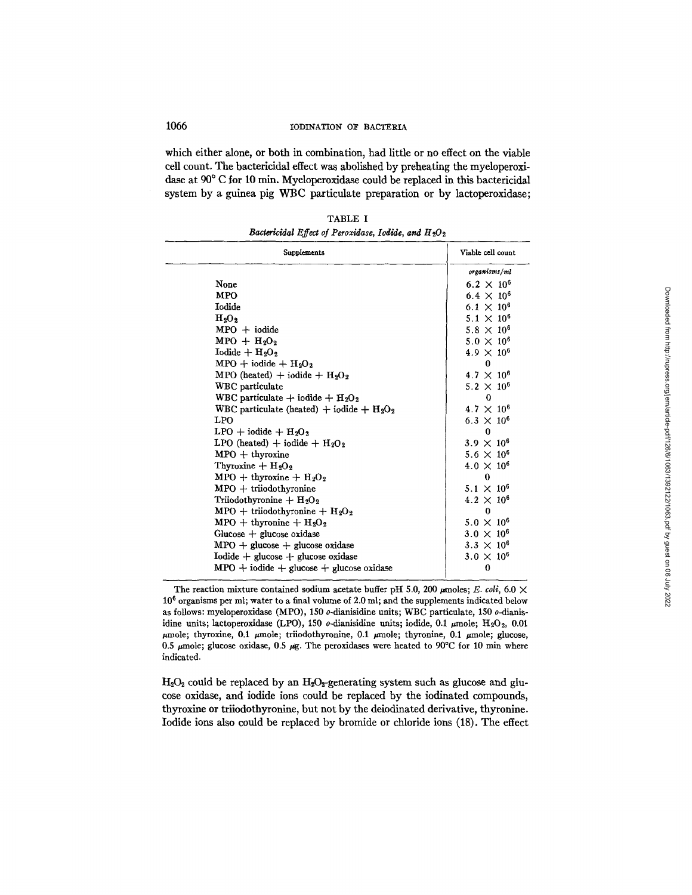which either alone, or both in combination, had little or no effect on the viable cell count. The bactericidal effect was abolished by preheating the myeloperoxidase at 90° C for 10 min. Myeloperoxidase could be replaced in this bactericidal system by a guinea pig WBC particulate preparation or by lactoperoxidase;

| <b>Supplements</b>                           | Viable cell count   |
|----------------------------------------------|---------------------|
|                                              | organisms/ml        |
| None                                         | $6.2 \times 10^{6}$ |
| <b>MPO</b>                                   | $6.4 \times 10^{6}$ |
| <b>Iodide</b>                                | $6.1 \times 10^6$   |
| H <sub>2</sub> O <sub>2</sub>                | $5.1 \times 10^6$   |
| $MPO + iodide$                               | $5.8 \times 10^{6}$ |
| $MPO + H2O2$                                 | $5.0 \times 10^6$   |
| Iodide + $H_2O_2$                            | $4.9 \times 10^{6}$ |
| $MPO + iodide + H2O2$                        | 0                   |
| MPO (heated) + iodide + $H_2O_2$             | $4.7 \times 10^{6}$ |
| WBC particulate                              | $5.2 \times 10^{6}$ |
| WBC particulate + iodide + $H_2O_2$          | 0                   |
| WBC particulate (heated) + iodide + $H_2O_2$ | $4.7 \times 10^{6}$ |
| <b>LPO</b>                                   | $6.3 \times 10^{6}$ |
| $LPO + iodide + H2O2$                        | 0                   |
| LPO (heated) + iodide + $H_2O_2$             | $3.9 \times 10^{6}$ |
| $MPO + thyroxine$                            | $5.6 \times 10^{6}$ |
| Thyroxine + $H_2O_2$                         | $4.0 \times 10^{6}$ |
| $MPO + thyroxine + H2O2$                     | $\bf{0}$            |
| $MPO + triodothyronine$                      | $5.1 \times 10^6$   |
| Triiodothyronine + $H_2O_2$                  | $4.2 \times 10^{6}$ |
| $MPO + triiodothyronine + H2O2$              | $\Omega$            |
| $MPO + th$ yronine + $H_2O_2$                | $5.0 \times 10^6$   |
| Glucose $+$ glucose oxidase                  | $3.0 \times 10^{6}$ |
| $MPO +$ glucose $+$ glucose oxidase          | $3.3 \times 10^{6}$ |
| $Iodide + glucose + glucose$ oxidase         | $3.0 \times 10^{6}$ |
| $MPO + iodide + glucose + glucose$ oxidase   | $\bf{0}$            |

TABLE I *Bactericidal Effect of Peroxidase, Iodide, and H<sub>2</sub>O<sub>2</sub>* 

 $H_2O_2$  could be replaced by an  $H_2O_2$ -generating system such as glucose and glucose oxidase, and iodide ions could be replaced by the iodinated compounds, thyroxine or triiodothyronine, but not by the deiodinated derivative, thyronine. Iodide ions also could be replaced by bromide or chloride ions (18). The effect

The reaction mixture contained sodium acetate buffer pH 5.0, 200  $\mu$ moles; *E. coli*, 6.0  $\times$  $10^6$  organisms per ml; water to a final volume of 2.0 ml; and the supplements indicated below as follows: myeloperoxidase (MPO), 150 o-dianisidine units; WBC particulate, 150 o-dianisidine units; lactoperoxidase (LPO), 150  $o$ -dianisidine units; iodide, 0.1  $\mu$ mole; H<sub>2</sub>O<sub>2</sub>, 0.01  $\mu$ mole; thyroxine, 0.1  $\mu$ mole; triiodothyronine, 0.1  $\mu$ mole; thyronine, 0.1  $\mu$ mole; glucose, 0.5  $\mu$ mole; glucose oxidase, 0.5  $\mu$ g. The peroxidases were heated to 90°C for 10 min where indicated.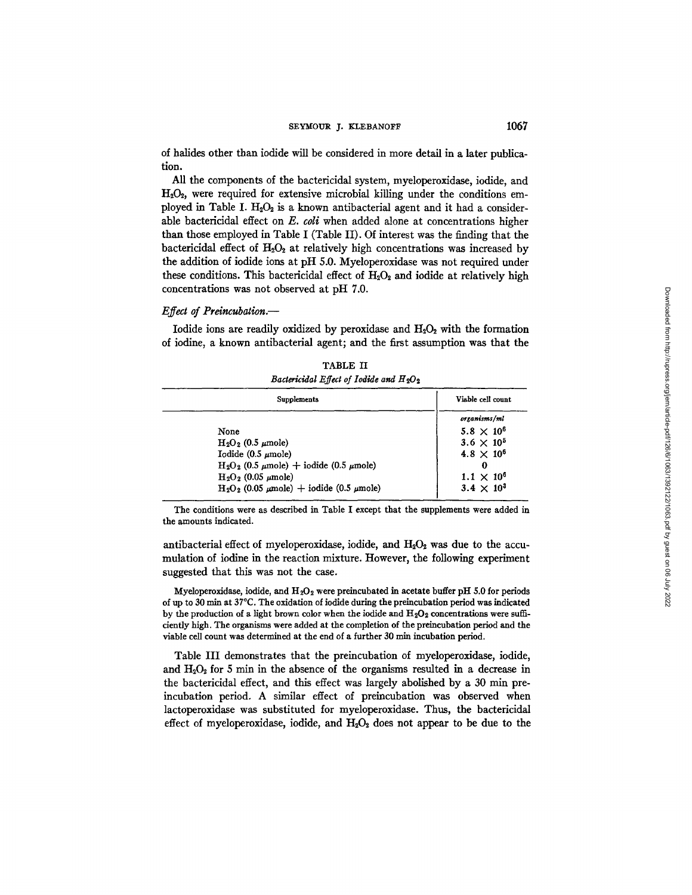### SEYMOUR J. KLEBANOFF 1067

of halides other than iodide will be considered in more detail in a later publication.

All the components of the bactericidal system, myeloperoxidase, iodide, and  $H<sub>2</sub>O<sub>2</sub>$ , were required for extensive microbial killing under the conditions employed in Table I.  $H_2O_2$  is a known antibacterial agent and it had a considerable bactericidal effect on *E. coli* when added alone at concentrations higher than those employed in Table I (Table II). Of interest was the finding that the bactericidal effect of  $H_2O_2$  at relatively high concentrations was increased by the addition of iodide ions at pH 5.0. Myeloperoxidase was not required under these conditions. This bactericidal effect of  $H_2O_2$  and iodide at relatively high concentrations was not observed at pH 7.0.

# *Effect of Preincubation.--*

Iodide ions are readily oxidized by peroxidase and  $H_2O_2$  with the formation of iodine, a known antibacterial agent; and the first assumption was that the

| <b>Supplements</b>                                   | Viable cell count   |
|------------------------------------------------------|---------------------|
|                                                      | organisms/ml        |
| None                                                 | $5.8 \times 10^{6}$ |
| $H_2O_2$ (0.5 $\mu$ mole)                            | $3.6 \times 10^{5}$ |
| Iodide $(0.5 \mu \text{mole})$                       | $4.8 \times 10^{6}$ |
| $H_2O_2$ (0.5 $\mu$ mole) + iodide (0.5 $\mu$ mole)  | 0                   |
| $H_2O_2$ (0.05 $\mu$ mole)                           | $1.1 \times 10^{6}$ |
| $H_2O_2$ (0.05 $\mu$ mole) + iodide (0.5 $\mu$ mole) | $3.4 \times 10^{3}$ |

TABLE II *Baaeriddal Effect of Iodide and H20~* 

The conditions were as described in Table I except that the supplements were added in the amounts indicated.

antibacterial effect of myeloperoxidase, iodide, and  $H_2O_2$  was due to the accumulation of iodine in the reaction mixture. However, the following experiment suggested that this was not the case.

Myeloperoxidase, iodide, and  $H_2O_2$  were preincubated in acetate buffer pH 5.0 for periods of up to 30  $\text{min}$  at 37 $\textdegree$ C. The oxidation of iodide during the preincubation period was indicated by the production of a light brown color when the iodide and  $H_2O_2$  concentrations were sufficiently high. The organisms were added at the completion of the preincubation period and the viable cell count was determined at the end of a further 30 min incubation period.

Table III demonstrates that the preincubation of myeloperoxidase, iodide, and  $H_2O_2$  for 5 min in the absence of the organisms resulted in a decrease in the bactericidal effect, and this effect was largely abolished by a 30 min preincubation period. A similar effect of preincubation was observed when lactoperoxidase was substituted for myeloperoxidase. Thus, the bactericidal effect of myeloperoxidase, iodide, and  $H_2O_2$  does not appear to be due to the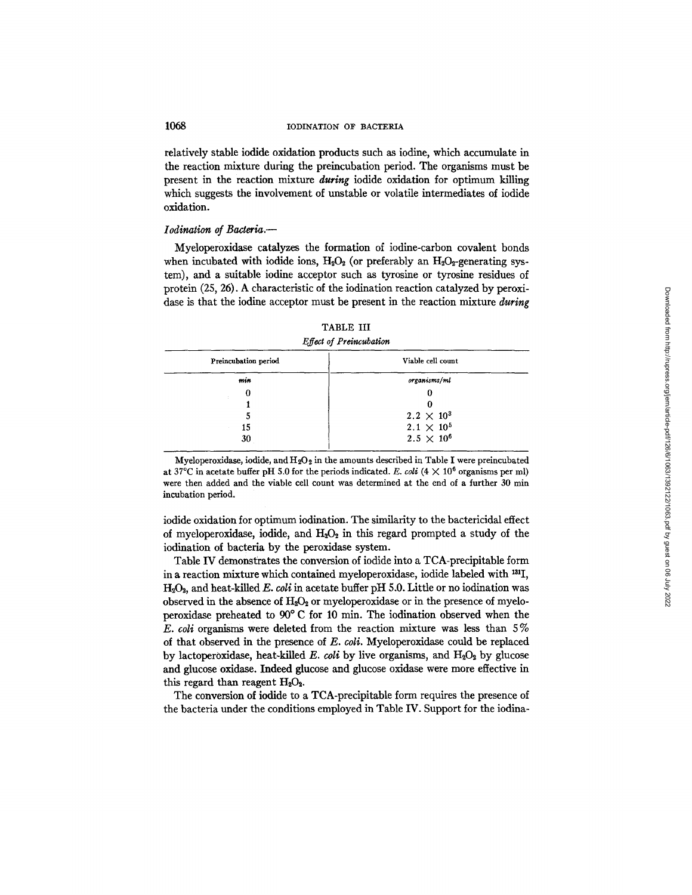relatively stable iodide oxidation products such as iodine, which accumulate in the reaction mixture during the preincubation period. The organisms must be present in the reaction mixture *during* iodide oxidation for optimum killing which suggests the involvement of unstable or volatile intermediates of iodide oxidation.

#### *Iodination of Bacteria.--*

Myeloperoxidase catalyzes the formation of iodine-carbon covalent bonds when incubated with iodide ions,  $H_2O_2$  (or preferably an  $H_2O_2$ -generating system), and a suitable iodine acceptor such as tyrosine or tyrosine residues of protein (25, 26). A characteristic of the iodination reaction catalyzed by peroxidase is that the iodine acceptor must be present in the reaction mixture *during* 

| TABLE III               |  |
|-------------------------|--|
| Effect of Preincubation |  |

| Preincubation period | Viable cell count   |
|----------------------|---------------------|
| min                  | organisms/ml        |
| O                    |                     |
|                      |                     |
|                      | $2.2 \times 10^{3}$ |
| 15                   | $2.1 \times 10^{5}$ |
| 30                   | $2.5 \times 10^6$   |

Myeloperoxidase, iodide, and  $H_2O_2$  in the amounts described in Table I were preincubated at 37°C in acetate buffer pH 5.0 for the periods indicated. *E. coli* ( $4 \times 10^6$  organisms per ml) were then added and the viable cell count was determined at the end of a further 30 min incubation period.

iodide oxidation for optimum iodination. The similarity to the bactericidal effect of myeloperoxidase, iodide, and  $H_2O_2$  in this regard prompted a study of the iodination of bacteria by the peroxidase system.

Table IV demonstrates the conversion of iodide into a TCA-precipitable form in a reaction mixture which contained myeloperoxidase, iodide labeled with  $^{131}I$ , H~O~, and heat-killed *E. coli in* acetate buffer pH 5.0. Little or no iodination was observed in the absence of  $H_2O_2$  or myeloperoxidase or in the presence of myeloperoxidase preheated to  $90^{\circ}$  C for 10 min. The iodination observed when the  $E.$  *coli* organisms were deleted from the reaction mixture was less than  $5\%$ of that observed in the presence of *E. coli.* Myeloperoxidase could be replaced by lactoperoxidase, heat-killed *E. coli* by live organisms, and  $H_2O_2$  by glucose and glucose oxidase. Indeed glucose and glucose oxidase were more effective in this regard than reagent  $H_2O_2$ .

The conversion of iodide to a TCA-precipitable form requires the presence of the bacteria under the conditions employed in Table IV. Support for the iodina-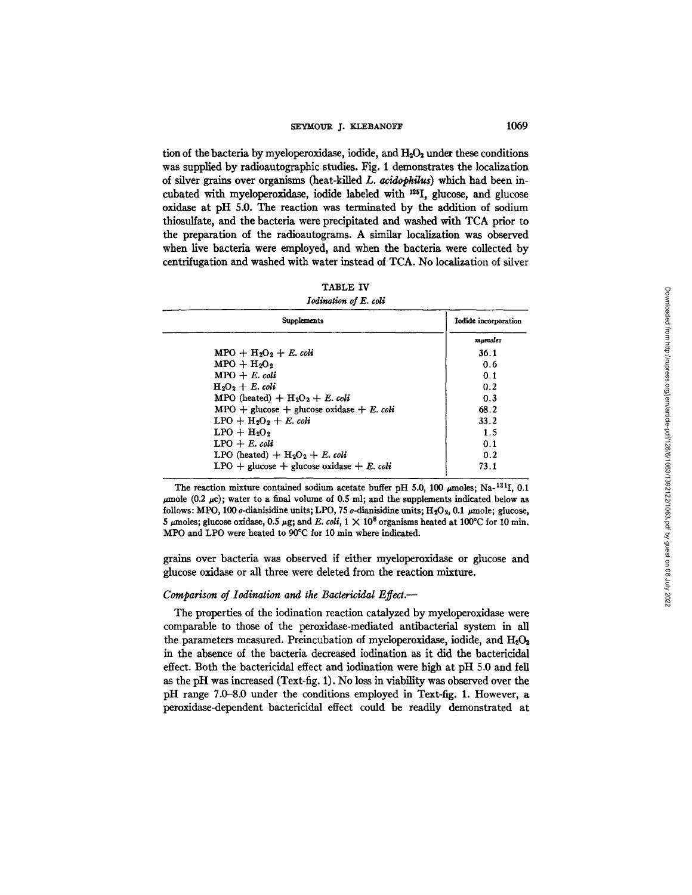# SEYMOUR J. KLEBANOFF 1069

tion of the bacteria by myeloperoxidase, iodide, and  $H_2O_2$  under these conditions was supplied by radioautographic studies. Fig. 1 demonstrates the localization of silver grains over organisms (heat-kiiled *L. acidopkilu¢)* which had been incubated with myeloperoxidase, iodide labeled with <sup>125</sup>I, glucose, and glucose oxidase at pH 5.0. The reaction was terminated by the addition of sodium thiosulfate, and the bacteria were precipitated and washed with TCA prior to the preparation of the radioautograms. A similar localization was observed when live bacteria were employed, and when the bacteria were collected by centrifugation and washed with water instead of TCA. No localization of silver

| TABLE IV |  |
|----------|--|
|          |  |

### *Iodination of E. coli*

| Supplements                                 | Iodide incorporation |
|---------------------------------------------|----------------------|
|                                             | mumoles              |
| $MPO + H2O2 + E$ . coli                     | 36.1                 |
| $MPO + H2O2$                                | 0.6                  |
| $MPO + E$ . coli                            | 0.1                  |
| $H_2O_2 + E$ . coli                         | 0.2                  |
| MPO (heated) + $H_2O_2 + E$ . coli          | 0.3                  |
| $MPO +$ glucose + glucose oxidase + E. coli | 68.2                 |
| $LPO + H2O2 + E$ , coli                     | 33.2                 |
| $LPO + H2O2$                                | 1.5                  |
| $LPO + E$ . coli                            | 0.1                  |
| LPO (heated) $+ H_2O_2 + E$ , coli          | 0.2                  |
| LPO + glucose + glucose oxidase + E. coli   | 73.1                 |

The reaction mixture contained sodium acetate buffer pH 5.0, 100  $\mu$ moles; Na-<sup>131</sup>I, 0.1  $\mu$ mole (0.2  $\mu$ c); water to a final volume of 0.5 ml; and the supplements indicated below as follows: MPO, 100  $\sigma$ -dianisidine units; LPO, 75  $\sigma$ -dianisidine units; H<sub>2</sub>O<sub>2</sub>, 0.1  $\mu$ mole; glucose, 5 µmoles; glucose oxidase, 0.5 µg; and E. coli,  $1 \times 10^8$  organisms heated at 100°C for 10 min. MPO and LPO were heated to 90°C for 10 min where indicated.

grains over bacteria was observed if either myeloperoxidase or glucose and glucose oxidase or all three were deleted from the reaction mixture.

# *Comparison of Iodination and the Bactericidal Effect.-*

The properties of the iodination reaction catalyzed by myeloperoxidase were comparable to those of the peroxidase-medlated antibacterial system in all the parameters measured. Preincubation of myeloperoxidase, iodide, and  $H_2O_2$ in the absence of the bacteria decreased iodination as it did the bactericidal effect. Both the bactericidal effect and iodination were high at pH 5.0 and fell as the pH was increased (Text-fig. 1). No loss in viability was observed over the pH range 7.0-8.0 under the conditions employed in Text-fig. 1. However, a peroxidase-dependent bactericidal effect could be readily demonstrated at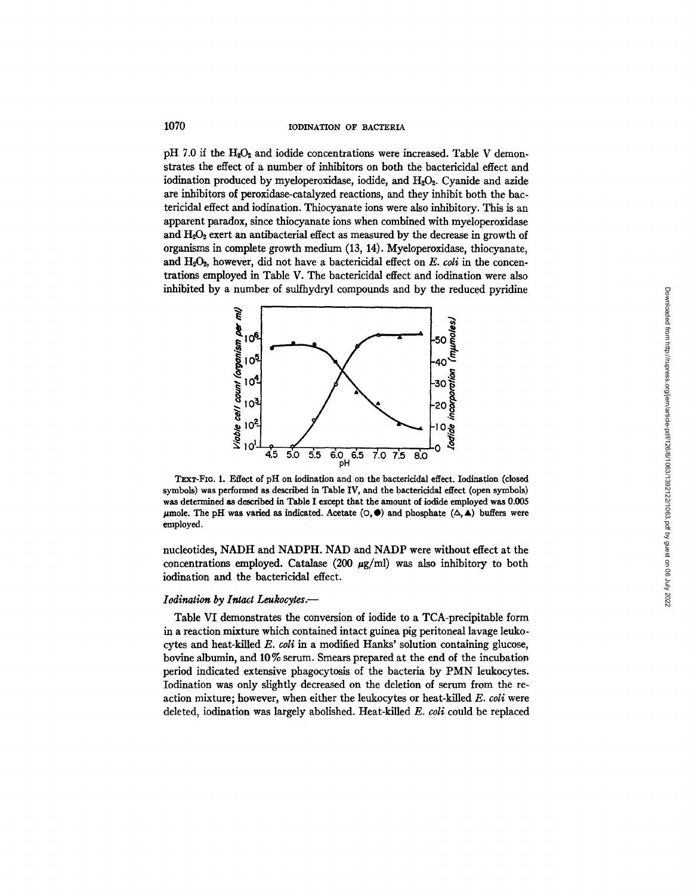pH 7.0 if the  $H_2O_2$  and iodide concentrations were increased. Table V demonstrates the effect of a number of inhibitors on both the bactericidal effect and iodination produced by myeloperoxidase, iodide, and H<sub>2</sub>O<sub>2</sub>. Cyanide and azide are inhibitors of peroxidase-catalyzed reactions, and they inhibit both the bactericidal effect and iodination. Thiocyanate ions were also inhibitory. This is an apparent paradox, since thiocyanate ions when combined with myeloperoxidase and  $H_2O_2$  exert an antibacterial effect as measured by the decrease in growth of organisms in complete growth medium (13, 14). Myeloperoxidase, thiocyanate, and H<sub>2</sub>O<sub>2</sub>, however, did not have a bactericidal effect on *E. coli* in the concentrations employed in Table V. The bactericidal effect and ioclination were also inhibited by a number of sulfhydryl compounds and by the reduced pyridine



TEXT-FIG. 1. Effect of pH on iodination and on the bactericidal effect. Iodination (closed symbols) was performed **as** described in Table IV, and the bactericidal effect (open symbols) **was determined as** described in Table **I except that the amount of iodide employed was 0.005**   $\mu$ mole. The pH was varied as indicated. Acetate  $(\circ, \bullet)$  and phosphate  $(\triangle, \bullet)$  buffers were employed.

nucleotides, NADH and NADPH. NAD and NADP were without effect at the concentrations employed. Catalase (200  $\mu$ g/ml) was also inhibitory to both iodination and the bactericidal effect.

# *Iodination by Intact Leukocytes.--*

Table VI demonstrates the conversion of iodide to a TCA-precipitable form in a reaction mixture which contained intact guinea pig peritoneal lavage leukocytes and heat-killed *E. coli* in a modified Hanks' solution containing glucose, bovine albumin, and 10 % serum. Smears prepared at the end of the incubation period indicated extensive phagocytosis of the bacteria by PMN leukocytes. Iodination was only slightly decreased on the deletion of serum from the reaction mixture; however, when either the leukocytes or heat-killed *E. coli* were deleted, iodination was largely abolished. Heat-killed *E. coli* could be replaced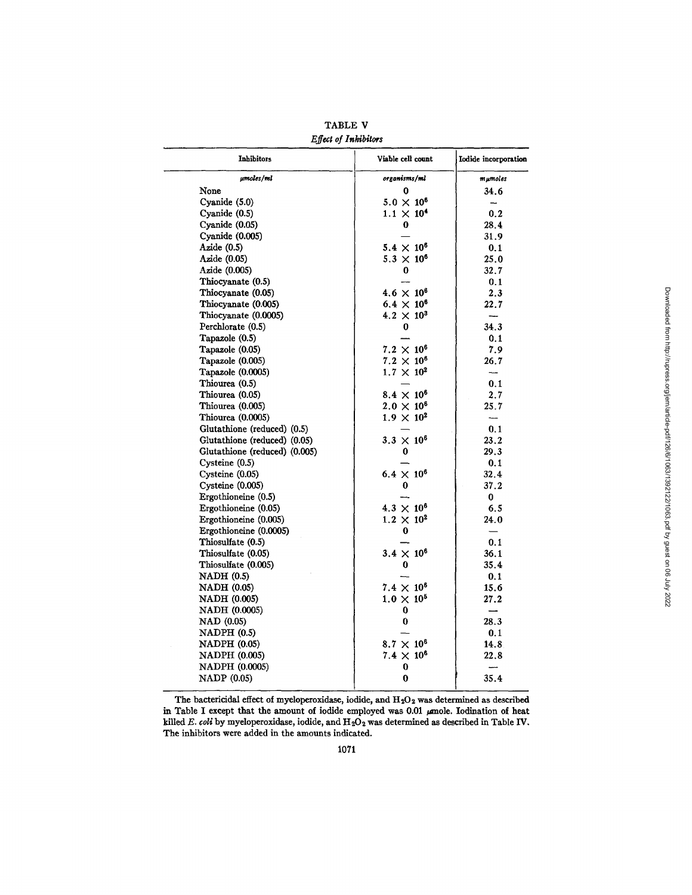| Inhibitors                    | Viable cell count   | Iodide incorporation     |
|-------------------------------|---------------------|--------------------------|
| µmoles/ml                     | organisms/ml        | $mμ$ moles               |
| None                          | 0                   | 34.6                     |
| Cyanide (5.0)                 | $5.0 \times 10^6$   | $\rightarrow$            |
| Cyanide (0.5)                 | $1.1 \times 10^{4}$ | 0.2                      |
| Cyanide (0.05)                | 0                   | 28.4                     |
| Cyanide (0.005)               |                     | 31.9                     |
| Azide $(0.5)$                 | $5.4 \times 10^{6}$ | 0.1                      |
| Azide (0.05)                  | $5.3 \times 10^{6}$ | 25.0                     |
| Azide (0.005)                 | 0                   | 32.7                     |
| Thiocyanate (0.5)             |                     | 0.1                      |
| Thiocyanate (0.05)            | $4.6 \times 10^{6}$ | 2.3                      |
| Thiocyanate (0.005)           | $6.4 \times 10^{6}$ | 22.7                     |
| Thiocyanate (0.0005)          | $4.2 \times 10^3$   | $\overline{\phantom{a}}$ |
| Perchlorate (0.5)             | 0                   | 34.3                     |
| Tapazole (0.5)                |                     | 0.1                      |
| Tapazole (0.05)               | $7.2\times10^6$     | 7.9                      |
| Tapazole (0.005)              | $7.2 \times 10^{6}$ | 26.7                     |
| Tapazole (0.0005)             | $1.7 \times 10^{2}$ | --                       |
| Thiourea (0.5)                |                     | 0.1                      |
| Thiourea (0.05)               | $8.4 \times 10^{6}$ | 2.7                      |
| Thiourea (0.005)              | $2.0 \times 10^{6}$ | 25.7                     |
| Thiourea (0.0005)             | $1.9 \times 10^{2}$ | $\overline{\phantom{a}}$ |
| Glutathione (reduced) (0.5)   |                     | 0.1                      |
| Glutathione (reduced) (0.05)  | $3.3 \times 10^{6}$ | 23.2                     |
| Glutathione (reduced) (0.005) | 0                   | 29.3                     |
| $C$ ysteine $(0.5)$           |                     | 0.1                      |
| Cysteine $(0.05)$             | $6.4 \times 10^{6}$ | 32.4                     |
| Cysteine (0.005)              | 0                   | 37.2                     |
| Ergothioneine (0.5)           |                     | 0                        |
| Ergothioneine (0.05)          | $4.3 \times 10^{6}$ | 6.5                      |
| Ergothioneine (0.005)         | $1.2 \times 10^{2}$ | 24.0                     |
| Ergothioneine (0.0005)        | 0                   |                          |
| Thiosulfate (0.5)             |                     | 0.1                      |
| Thiosulfate (0.05)            | $3.4 \times 10^{6}$ | 36.1                     |
| Thiosulfate (0.005)           | 0                   | 35.4                     |
| <b>NADH</b> (0.5)             |                     | 0.1                      |
| <b>NADH</b> (0.05)            | $7.4 \times 10^6$   | 15.6                     |
| <b>NADH (0.005)</b>           | $1.0 \times 10^{5}$ | 27.2                     |
| NADH (0.0005)                 | 0                   | ÷,                       |
| NAD (0.05)                    | 0                   | 28.3                     |
| $NADPH$ $(0.5)$               |                     | 0.1                      |
| <b>NADPH (0.05)</b>           | $8.7 \times 10^{6}$ | 14.8                     |
| <b>NADPH (0.005)</b>          | $7.4 \times 10^{6}$ | 22.8                     |
| <b>NADPH</b> (0.0005)         | 0                   | ---                      |
| <b>NADP</b> (0.05)            | 0                   | 35.4                     |

TABLE V *Effect of Inbibitors* 

The bactericidal effect of myeloperoxidase, iodide, and  $H_2O_2$  was determined as described in Table I except that the amount of iodide employed was 0.01  $\mu$ mole. Iodination of heat killed *E. coli* by myeloperoxidase, iodide, and  $H_2O_2$  was determined as described in Table IV. The inhibitors were added in the amounts indicated.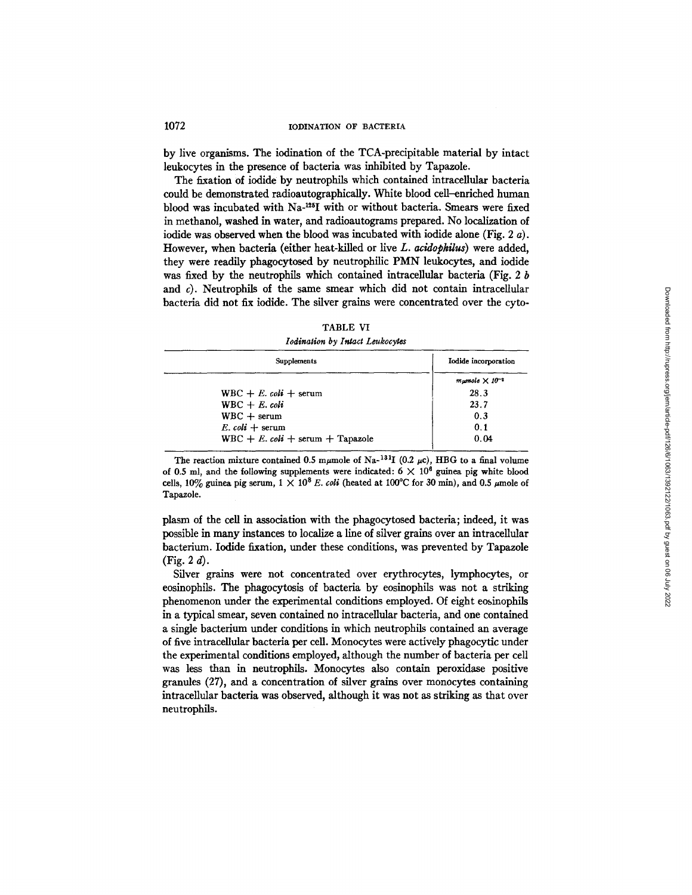by live organisms. The iodination of the TCA-precipitable material by intact leukocytes in the presence of bacteria was inhibited by Tapazole.

The fixation of iodide by neutrophils which contained intracellular bacteria could be demonstrated radioautographically. White blood cell-enriched human blood was incubated with  $Na$ -<sup>125</sup>I with or without bacteria. Smears were fixed in methanol, washed in water, and radioautograms prepared. No localization of iodide was observed when the blood was incubated with iodide alone (Fig. 2 a). However, when bacteria (either heat-killed or live *L. acidophilus*) were added, they were readily phagocytosed by neutrophilic PMN leukocytes, and iodide was fixed by the neutrophils which contained intracellular bacteria (Fig. 2 b and  $c$ ). Neutrophils of the same smear which did not contain intracellular bacteria did not fix iodide. The silver grains were concentrated over the cyto-

| 'ABLE |  |
|-------|--|
|-------|--|

*Iodination by Intact Leukocytes* 

| Supplements                         | Iodide incorporation       |
|-------------------------------------|----------------------------|
|                                     | $m$ umole $\times 10^{-4}$ |
| WBC + E. coli + serum               | 28.3                       |
| $WBC + E$ , coli                    | 23.7                       |
| $WBC + serum$                       | 0.3                        |
| E. coli $+$ serum                   | 0.1                        |
| $WBC + E$ . coli + serum + Tapazole | 0.04                       |

The reaction mixture contained 0.5 m $\mu$ mole of Na-<sup>131</sup>I (0.2  $\mu$ c), HBG to a final volume of 0.5 ml, and the following supplements were indicated:  $6 \times 10^6$  guinea pig white blood cells,  $10\%$  guinea pig serum,  $1 \times 10^8$  *E. coli* (heated at  $100^{\circ}$ C for 30 min), and 0.5  $\mu$ mole of Tapazole.

plasm of the cell in association with the phagocytosed bacteria; indeed, it was possible in many instances to localize a line of silver grains over an intracellular bacterium. Iodide fixation, under these conditions, was prevented by Tapazole  $(Fig. 2 d)$ .

Silver grains were not concentrated over erythrocytes, lymphocytes, or eosinophils. The phagocytosis of bacteria by eosinophils was not a striking phenomenon under the experimental conditions employed. Of eight eosinophils in a typical smear, seven contained no intracellular bacteria, and one contained a single bacterium under conditions in which neutrophils contained an average of five intracellular bacteria per cell. Monocytes were actively phagocytic under the experimental conditions employed, although the number of bacteria per cell was less than in neutrophils. Monocytes also contain peroxidase positive granules (27), and a concentration of silver grains over monocytes containing intracellular bacteria was observed, although it was not as striking as that over neutrophils.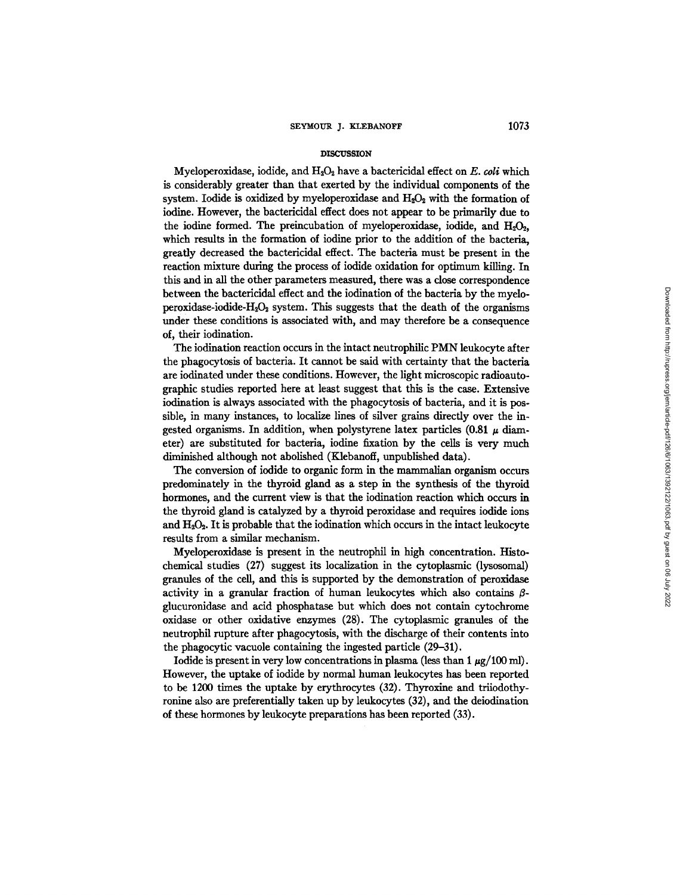#### **DISCUSSION**

Myeloperoxidase, iodide, and H<sub>2</sub>O<sub>2</sub> have a bactericidal effect on *E. coli* which is considerably greater than that exerted by the individual components of the system. Iodide is oxidized by myeloperoxidase and  $H_2O_2$  with the formation of iodine. However, the bactericidal effect does not appear to be primarily due to the iodine formed. The preincubation of myeloperoxidase, iodide, and  $H_2O_2$ , which results in the formation of iodine prior to the addition of the bacteria, greatly decreased the bactericidal effect. The bacteria must be present in the reaction mixture during the process of iodide oxidation for optimum killing. In this and in all the other parameters measured, there was a close correspondence between the bactericidal effect and the iodination of the bacteria by the myeloperoxidase-iodide-H<sub>2</sub>O<sub>2</sub> system. This suggests that the death of the organisms under these conditions is associated with, and may therefore be a consequence of, their iodination.

The iodination reaction occurs in the intact neutrophilic PMN leukocyte after the phagocytosis of bacteria. It cannot be said with certainty that the bacteria are iodinated under these conditions. However, the light microscopic radioautographic studies reported here at least suggest that this is the case. Extensive iodination is always associated with the phagocytosis of bacteria, and it is possible, in many instances, to localize lines of silver grains directly over the ingested organisms. In addition, when polystyrene latex particles  $(0.81 \mu \text{ diam}$ eter) are substituted for bacteria, iodine fixation by the cells is very much diminished although not abolished (Klebanoff, unpublished data).

The conversion of iodide to organic form in the mammalian organism occurs predominately in the thyroid gland as a step in the synthesis of the thyroid hormones, and the current view is that the iodination reaction which occurs in the thyroid gland is catalyzed by a thyroid peroxidase and requires iodide ions and  $H_2O_2$ . It is probable that the iodination which occurs in the intact leukocyte results from a similar mechanism.

Myeloperoxidase is present in the neutrophil in high concentration. Histochemical studies (27) suggest its localization in the cytoplasmic (lysosomal) granules of the cell, and this is supported by the demonstration of peroxidase activity in a granular fraction of human leukocytes which also contains  $\beta$ glucuronidase and acid phosphatase but which does not contain cytochrome oxidase or other oxidative enzymes (28). The cytoplasmic granules of the neutrophil rupture after phagocytosis, with the discharge of their contents into the phagocytic vacuole containing the ingested particle (29-31).

Iodide is present in very low concentrations in plasma (less than 1  $\mu$ g/100 ml). However, the uptake of iodide by normal human leukocytes has been reported to be 1200 times the uptake by erythrocytes (32). Thyroxine and triiodothyronine also are preferentially taken up by leukocytes (32), and the deiodination of these hormones by leukocyte preparations has been reported (33).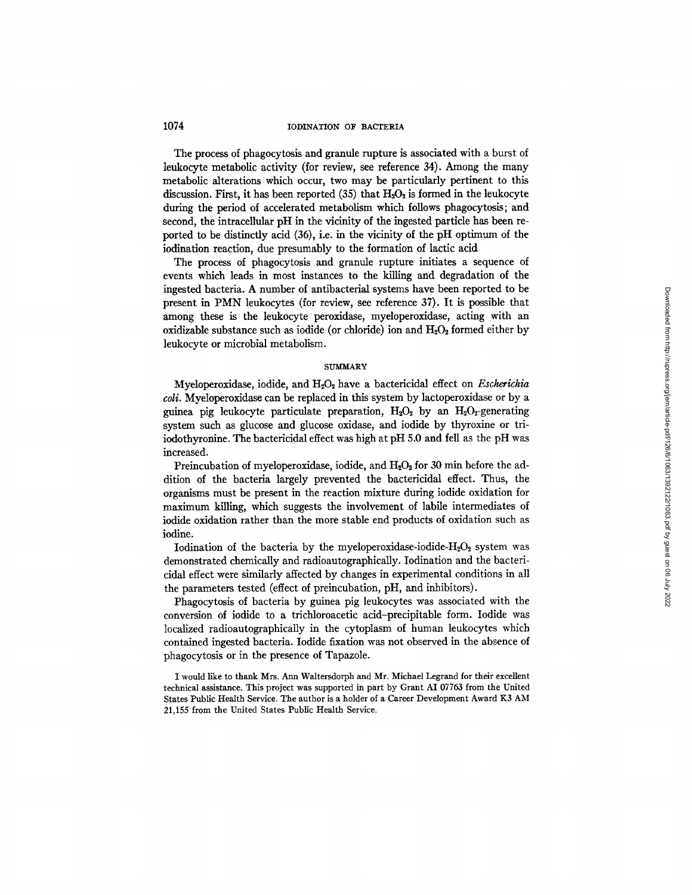The process of phagocytosis and granule rupture is associated with a burst of leukocyte metabolic activity (for review, see reference 34). Among the many metabolic alterations which occur, two may be particularly pertinent to this discussion. First, it has been reported  $(35)$  that  $H_2O_2$  is formed in the leukocyte during the period of accelerated metabolism which follows phagocytosis; and second, the intracellular pH in the vicinity of the ingested particle has been reported to be distinctly acid (36), i.e. in the vicinity of the pH optimum of the iodination reaction, due presumably to the formation of lactic acid

The process of phagocytosis and granule rupture initiates a sequence of events which leads in most instances to the killing and degradation of the ingested bacteria. A number of antibacterial systems have been reported to be present in PMN leukocytes (for review, see reference 37). It is possible that among these is the leukocyte peroxidase, myeloperoxidase, acting with an oxidizable substance such as iodide (or chloride) ion and  $H_2O_2$  formed either by leukocyte or microbial metabolism.

#### **SUMMARY**

Myeloperoxidase, iodide, and H<sub>2</sub>O<sub>2</sub> have a bactericidal effect on *Escherichia coli.* Myeloperoxidase can be replaced in this system by lactoperoxidase or by a guinea pig leukocyte particulate preparation,  $H_2O_2$  by an  $H_2O_2$ -generating system such as glucose and glucose oxidase, and iodide by thyroxine or triiodothyronine. The bactericidal effect was high at pH 5.0 and fell as the pH was increased.

Preincubation of myeloperoxidase, iodide, and  $H_2O_2$  for 30 min before the addition of the bacteria largely prevented the bactericidal effect. Thus, the organisms must be present in the reaction mixture during iodide oxidation for maximum killing, which suggests the involvement of labile intermediates of iodide oxidation rather than the more stable end products of oxidation such as iodine.

Iodination of the bacteria by the myeloperoxidase-iodide- $H_2O_2$  system was demonstrated chemically and radioautographically. Iodination and the bactericidal effect were similarly affected by changes in experimental conditions in all the parameters tested (effect of preincubation, pH, and inhibitors).

Phagocytosis of bacteria by guinea pig leukocytes was associated with the conversion of iodide to a trichloroacetic acid-precipitable form. Iodide was localized radioautographically in the cytoplasm of human leukocytes which contained ingested bacteria. Iodide fixation was not observed in the absence of phagocytosis or in the presence of Tapazole.

I would like to thank Mrs. Ann Waltersdorph and Mr. Michael Legrand for their excellent technical assistance. This project was supported in part by Grant AI 07763 from the United States Public Health Service. The author is a holder of a Career Development Award K3 AM 21,155 from the United States Public Health Service.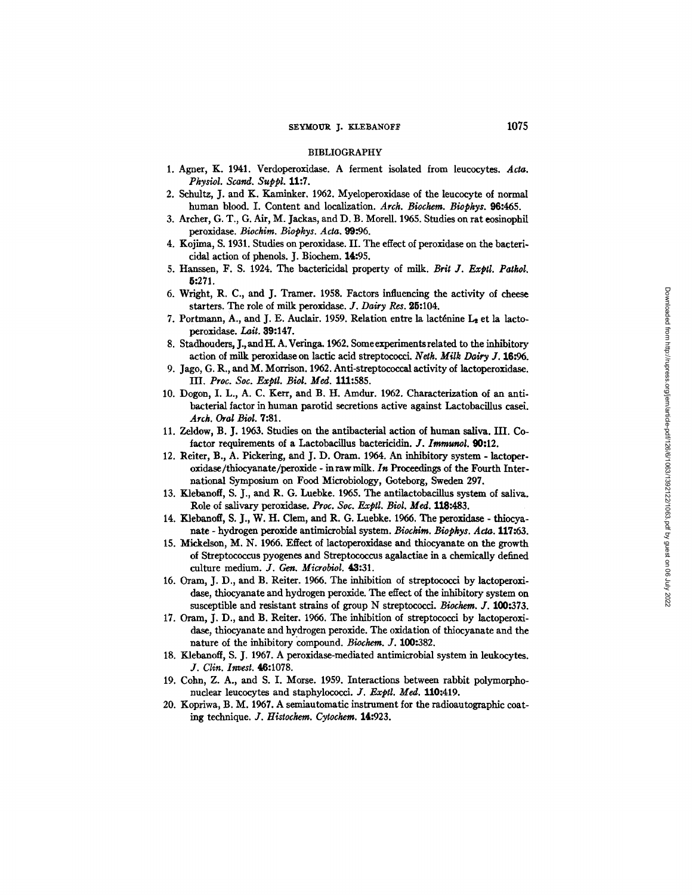#### BIBLIOGRAPHY

- 1. Agner, K. 1941. Verdoperoxidase. A ferment isolated from leucocytes. Acta. *Physiol. Scand. Suppl.* 11:7.
- 2. Schultz, J. and K. Kaminker. 1962. Myeloperoxidase of the leucocyte of normal human blood. I. Content and localization. *Arch. Biockem. Biophys.* 96:465.
- 3. Archer, G. T., G. Air, M. Jackas, and D. B. MoreU. 1965. Studies on rat eosinophil peroxidase. *Biochira. Biophys. Acta. 99.'96.*
- 4. Kojima, S. 1931. Studies on peroxidase. H. The effect of peroxidase on the bactericidal action of phenols. J. Biochem. 14:95.
- 5. Hanssen, F. S. 1924. The bactericidal property of milk. *Brit J. Exptl. Pathol.*  5:271.
- 6. Wright, R. C., and J. Tramer. 1958. Factors influencing the activity of cheese starters. The role of milk peroxidase. J. Dairy Res. 25:104.
- 7. Portmann, A., and J. E. Auclair. 1959. Relation entre la lacténine  $L_2$  et la lactoperoxidase. Lait. 39:147.
- 8. Stadhouders, J., and H. A. Veringa. 1962. Some experiments related to the inhibitory action of milk peroxidase on lactic acid streptococci. *Netk. Milk Dairy Y.* 16:96.
- 9. Jago, G. R., and M. Morrison. 1962. Anti-streptococcal activity of lactoperoxidase. IIL *Proc. Soc. Exptl. Biol. Med.* 111:585.
- 10. Dogon, I. L., A. C. Kerr, and B. H. Amdur. 1962. Characterization of an antibacterial factor in human parotid secretions active against Lactobacillus casei. *Arch. Oral Biol.* 7:81.
- 11. Zeldow, B. J. 1963. Studies on the antibacterial action of human saliva. HI. Cofactor requirements of a Lactobacillus bactericidin. *J. Iraraunol.* **90:12.**
- 12. Reiter, B., A. Picketing, and J. D. Gram. 1964. An inhibitory system lactoperoxidase/thiocyanate/peroxide - inraw milk. *In* Proceedings of the Fourth International Symposium on Food Microbiology, Goteborg, Sweden 297.
- 13. Klebanott, S. J., and R. G. Luebke. 1955. The antilactobaciUus system of saliva. Role of salivary peroxidase. *Proc. Soc. Exptl. Biol. Med.* 118:483.
- 14. Klebanoff, S. J., W. H. Clem, and R. G. Luebke. 1956. The peroxidase thiocyanate - hydrogen peroxide antimicrobial system. *Biochim. Biophys. Acta.* 117:63.
- 15. Mickelson, M. N. 1966. Effect of lactoperoxidase and thiocyanate on the growth of Streptococcus pyogenes and Streptococcus agalactiae in a chemically defined culture medium. *J. Gen. Microbiol.* 43:31.
- 16. Oram, J. D., and B. Reiter. 1956. The inhibition of streptococci by lactoperoxidase, thiocyanate and hydrogen peroxide. The effect of the inhibitory system on susceptible and resistant strains of group N streptococci. *Biochem. J.* 100:373.
- 17. Oram, J. D., and B. Reiter. 1966. The inhibition of streptococci by lactoperoxidase, thiocyanate and hydrogen peroxide. The oxidation of thiocyanate and the nature of the inhibitory compound. *Biochem. J.* 100:382.
- 18. Klebanoff, S. J. 1967. A peroxidase-mediated antimicrobial system in leukocytes. *J. Clin. Invest.* 46:1078.
- 19. Cohn, Z. A., and S. I. Morse. 1959. Interactions between rabbit polymorphonuclear leucocytes and staphylococci. *J. Exptl. Med.* 110:419.
- 20. Kopriwa, B. M. 1967. A semiautomatic instrument for the radioautographic coating technique. *J. Histochem. Cytochem.* 14:923.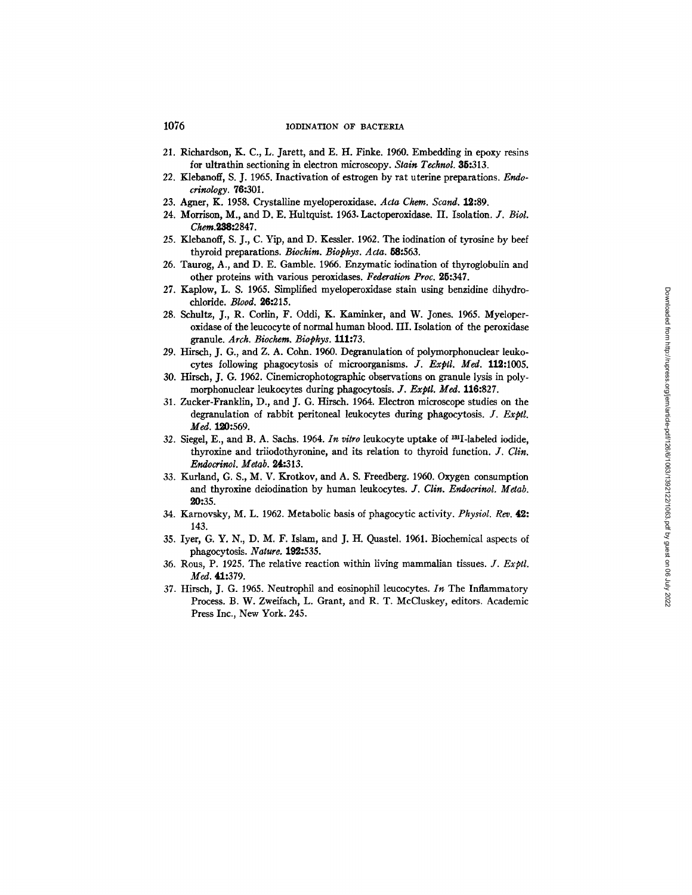- 21. Richardson, K. C., L. Jarett, and E. H. Finke. 1960. Embedding in epoxy resins for ultrathin sectioning in electron microscopy. *Stain Technol.* **35:**313.
- *22.* Klebanoff, S. J. 1965. Inactivation of estrogen by rat uterine preparations. *Endo* $crinology.$  **76:**301.
- 23. Agner, K. 1958. Crystalline mydoperoxidase. *Acta Chem. Scand.* 12:89.
- 24. Morrison, M., and D. E. Hultquist. 1963. Lactoperoxidase. II. Isolation. *J. Biol.*  Chem.238:2847.
- 25. Klebanoff, S. J., C. Yip, and D. Kessler. 1962. The iodination of tyrosine by beef thyroid preparations. *Biochim. Biophys. Acta.* 58:563.
- 26. Taurog, A., and D. E. Gamble. 1966. Enzymatic iodination of thyroglobulin and other proteins with various peroxidases. *Federation Proc.* 25:347.
- 27. Kaplow, L. S. 1965. Simplified myeloperoxidase stain using benzidine dihydrochloride. *Blood.* 26:215.
- 28. Schultz, J., R. Corlin, F. Oddi, K. Kaminker, and W. Jones. 1965. Myeloperoxidase of the leucocyte of normal human blood. III. Isolation of the peroxidase granule. *Arch. Biochem. Biophys.* 111:73.
- 29. Hirsch, J. G., and Z. A. Cohn. 1960. Degranulation of polymorphonudear leukocytes following phagocytosis of microorganisms. *]. Exptl. Meal.* 112:1005.
- 30. Hirsch, J. G. 1962. Cinemicrophotographic observations on granule lysis in polymorphonuclear leukocytes during phagocytosis. *]. Exptl. Med.* 116:827.
- 31. Zucker-Franklin, D., and J. G. Hirsch. 1964. Electron microscope studies on the degranulation of rabbit peritoneal leukocytes during phagocytosis. *Y. Exptl.*  Med. 120:569.
- 32. Siegel, E., and B. A. Sachs. 1964. *In vitro* leukocyte uptake of <sup>131</sup>I-labeled iodide. thyroxine and triiodothyronine, and its relation to thyroid function. *J. Clin. Endocrinol. Metab.* 24:313.
- 33. Kurland, G. S., M. V. Krotkov, and A. S. Freedberg. 1960. Oxygen consumption and thyroxine deiodination by human leukocytes. *J. Clin. Endocrinol. Metab.* 20:35.
- 34. Kamovsky, M. L. 1962. Metabolic basis of phagocytic activity. *Physiol. Rev.* 49.: 143.
- 35. Iyer, G. Y. N., D. M. F. Islam, and J. H. Quastel. 1961. Biochemical aspects of phagocytosis. *Nature.* 192:535.
- 36. Rous, P. 1925. The relative reaction within living mammalian tissues. *J. Exptl.*  Med. 41:379.
- 37. Hirsch, J. G. 1965. Neutrophil and eosinophil leucocytes. *In* The Inflammatory Process. B. W. Zweifach, L. Grant, and R. T. McCluskey, editors. Academic Press Inc., New York. 245.

# Downloaded from http://rupress.org/jern/article-pdf/126/6/1063/1392122/1063.pdf by guest on 06 July 2022 Downloaded from http://rupress.org/jem/article-pdf/126/6/1063/1392122/1063.pdf by guest on 06 July 2022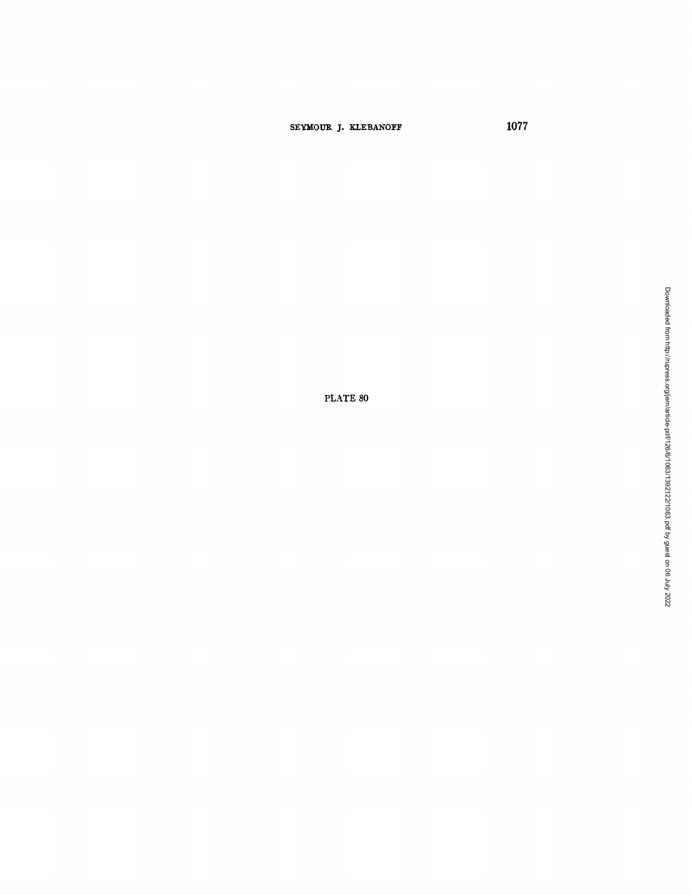# SEYMOUR J. KLEBANOFF **1077**

PLATE 80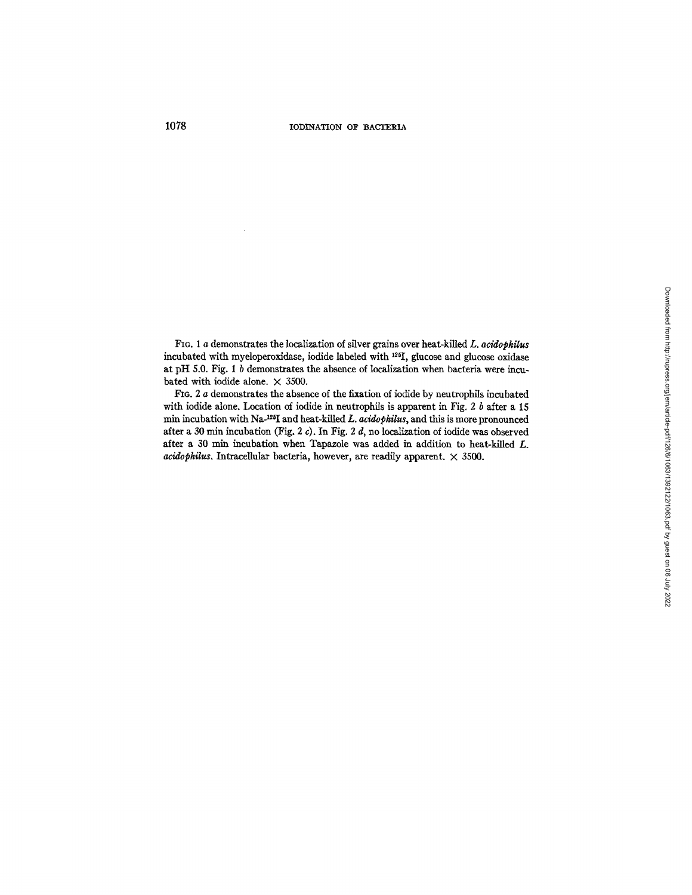FIG. i a demonstrates the localization of silver grains over heat-killed *L. acidopkilus*  incubated with myeloperoxidase, iodide labeled with <sup>125</sup>I, glucose and glucose oxidase at pH 5.0. Fig. 1 b demonstrates the absence of localization when bacteria were incubated with iodide alone.  $\times$  3500.

FIG. 2 a demonstrates the absence of the fixation of iodide by neutrophils incubated with iodide alone. Location of iodide in neutrophils is apparent in Fig. 2  $b$  after a 15 min incubation with Na-<sup>125</sup>I and heat-killed *L. acidophilus*, and this is more pronounced after a 30 min incubation (Fig. 2 c). In Fig. 2 d, no localization of iodide was observed after a 30 min incubation when Tapazole was added in addition to heat-killed  $L$ .  $acidophilus$ . Intracellular bacteria, however, are readily apparent.  $\times$  3500.